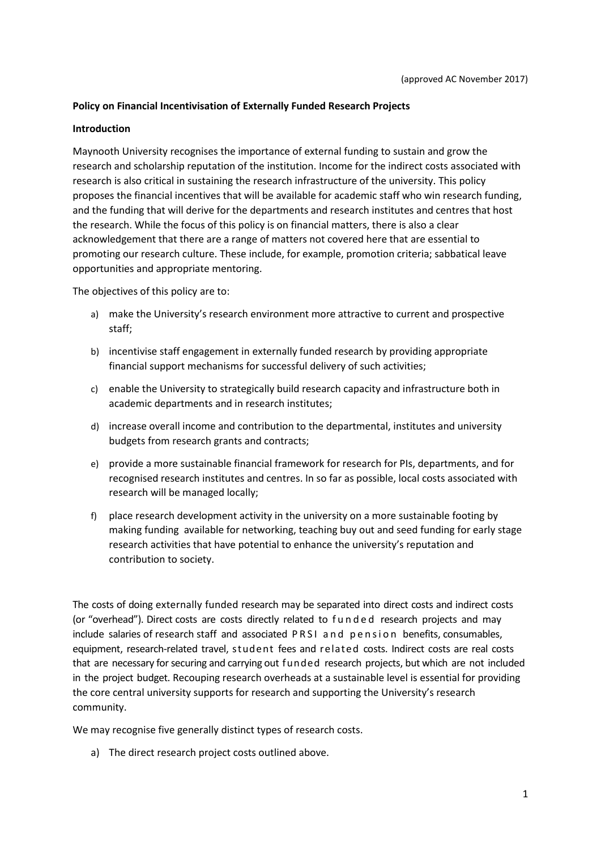## **Policy on Financial Incentivisation of Externally Funded Research Projects**

#### **Introduction**

Maynooth University recognises the importance of external funding to sustain and grow the research and scholarship reputation of the institution. Income for the indirect costs associated with research is also critical in sustaining the research infrastructure of the university. This policy proposes the financial incentives that will be available for academic staff who win research funding, and the funding that will derive for the departments and research institutes and centres that host the research. While the focus of this policy is on financial matters, there is also a clear acknowledgement that there are a range of matters not covered here that are essential to promoting our research culture. These include, for example, promotion criteria; sabbatical leave opportunities and appropriate mentoring.

The objectives of this policy are to:

- a) make the University's research environment more attractive to current and prospective staff;
- b) incentivise staff engagement in externally funded research by providing appropriate financial support mechanisms for successful delivery of such activities;
- c) enable the University to strategically build research capacity and infrastructure both in academic departments and in research institutes;
- d) increase overall income and contribution to the departmental, institutes and university budgets from research grants and contracts;
- e) provide a more sustainable financial framework for research for PIs, departments, and for recognised research institutes and centres. In so far as possible, local costs associated with research will be managed locally;
- f) place research development activity in the university on a more sustainable footing by making funding available for networking, teaching buy out and seed funding for early stage research activities that have potential to enhance the university's reputation and contribution to society.

The costs of doing externally funded research may be separated into direct costs and indirect costs (or "overhead"). Direct costs are costs directly related to f u n d e d research projects and may include salaries of research staff and associated PRSI and pension benefits, consumables, equipment, research-related travel, student fees and related costs. Indirect costs are real costs that are necessary for securing and carrying out funded research projects, but which are not included in the project budget. Recouping research overheads at a sustainable level is essential for providing the core central university supports for research and supporting the University's research community.

We may recognise five generally distinct types of research costs.

a) The direct research project costs outlined above.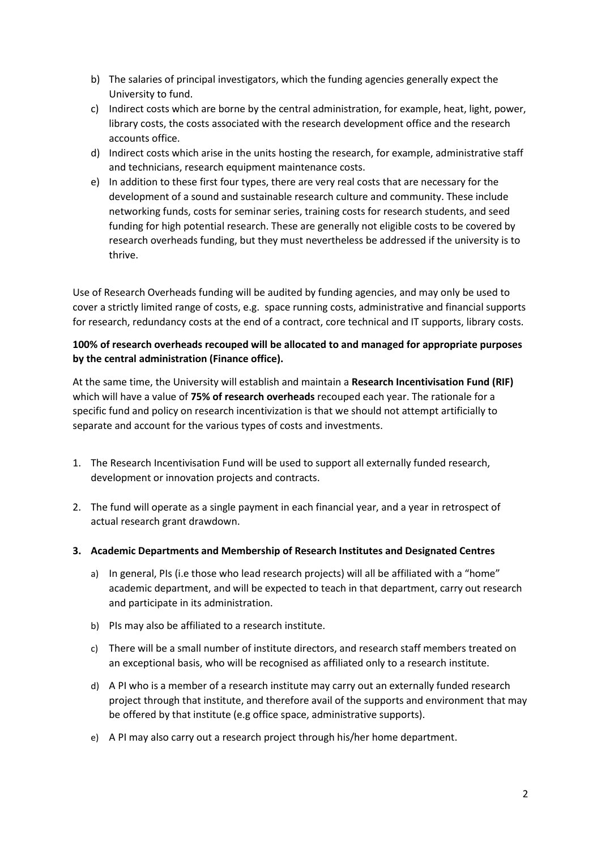- b) The salaries of principal investigators, which the funding agencies generally expect the University to fund.
- c) Indirect costs which are borne by the central administration, for example, heat, light, power, library costs, the costs associated with the research development office and the research accounts office.
- d) Indirect costs which arise in the units hosting the research, for example, administrative staff and technicians, research equipment maintenance costs.
- e) In addition to these first four types, there are very real costs that are necessary for the development of a sound and sustainable research culture and community. These include networking funds, costs for seminar series, training costs for research students, and seed funding for high potential research. These are generally not eligible costs to be covered by research overheads funding, but they must nevertheless be addressed if the university is to thrive.

Use of Research Overheads funding will be audited by funding agencies, and may only be used to cover a strictly limited range of costs, e.g. space running costs, administrative and financial supports for research, redundancy costs at the end of a contract, core technical and IT supports, library costs.

# **100% of research overheads recouped will be allocated to and managed for appropriate purposes by the central administration (Finance office).**

At the same time, the University will establish and maintain a **Research Incentivisation Fund (RIF)**  which will have a value of **75% of research overheads** recouped each year. The rationale for a specific fund and policy on research incentivization is that we should not attempt artificially to separate and account for the various types of costs and investments.

- 1. The Research Incentivisation Fund will be used to support all externally funded research, development or innovation projects and contracts.
- 2. The fund will operate as a single payment in each financial year, and a year in retrospect of actual research grant drawdown.
- **3. Academic Departments and Membership of Research Institutes and Designated Centres**
	- a) In general, PIs (i.e those who lead research projects) will all be affiliated with a "home" academic department, and will be expected to teach in that department, carry out research and participate in its administration.
	- b) PIs may also be affiliated to a research institute.
	- c) There will be a small number of institute directors, and research staff members treated on an exceptional basis, who will be recognised as affiliated only to a research institute.
	- d) A PI who is a member of a research institute may carry out an externally funded research project through that institute, and therefore avail of the supports and environment that may be offered by that institute (e.g office space, administrative supports).
	- e) A PI may also carry out a research project through his/her home department.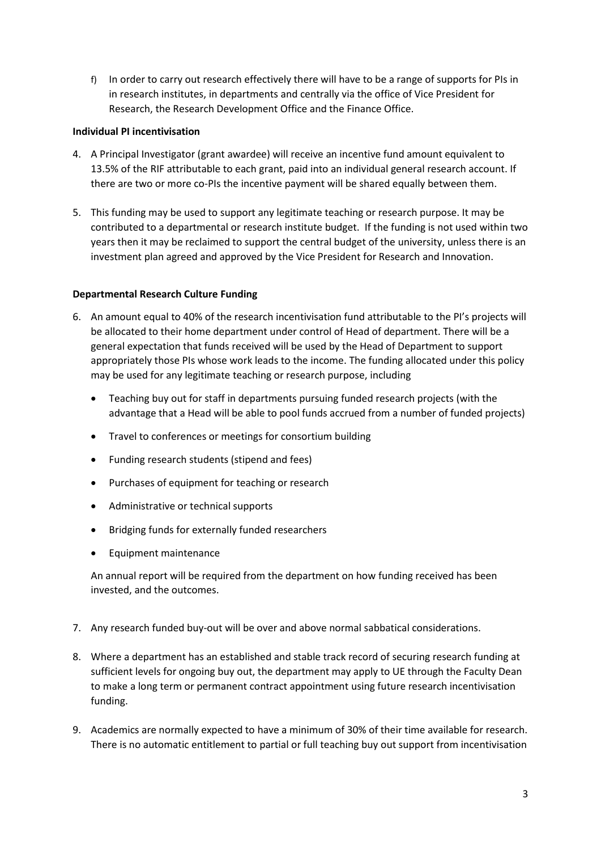f) In order to carry out research effectively there will have to be a range of supports for PIs in in research institutes, in departments and centrally via the office of Vice President for Research, the Research Development Office and the Finance Office.

## **Individual PI incentivisation**

- 4. A Principal Investigator (grant awardee) will receive an incentive fund amount equivalent to 13.5% of the RIF attributable to each grant, paid into an individual general research account. If there are two or more co-PIs the incentive payment will be shared equally between them.
- 5. This funding may be used to support any legitimate teaching or research purpose. It may be contributed to a departmental or research institute budget. If the funding is not used within two years then it may be reclaimed to support the central budget of the university, unless there is an investment plan agreed and approved by the Vice President for Research and Innovation.

## **Departmental Research Culture Funding**

- 6. An amount equal to 40% of the research incentivisation fund attributable to the PI's projects will be allocated to their home department under control of Head of department. There will be a general expectation that funds received will be used by the Head of Department to support appropriately those PIs whose work leads to the income. The funding allocated under this policy may be used for any legitimate teaching or research purpose, including
	- Teaching buy out for staff in departments pursuing funded research projects (with the advantage that a Head will be able to pool funds accrued from a number of funded projects)
	- Travel to conferences or meetings for consortium building
	- Funding research students (stipend and fees)
	- Purchases of equipment for teaching or research
	- Administrative or technical supports
	- Bridging funds for externally funded researchers
	- **•** Equipment maintenance

An annual report will be required from the department on how funding received has been invested, and the outcomes.

- 7. Any research funded buy-out will be over and above normal sabbatical considerations.
- 8. Where a department has an established and stable track record of securing research funding at sufficient levels for ongoing buy out, the department may apply to UE through the Faculty Dean to make a long term or permanent contract appointment using future research incentivisation funding.
- 9. Academics are normally expected to have a minimum of 30% of their time available for research. There is no automatic entitlement to partial or full teaching buy out support from incentivisation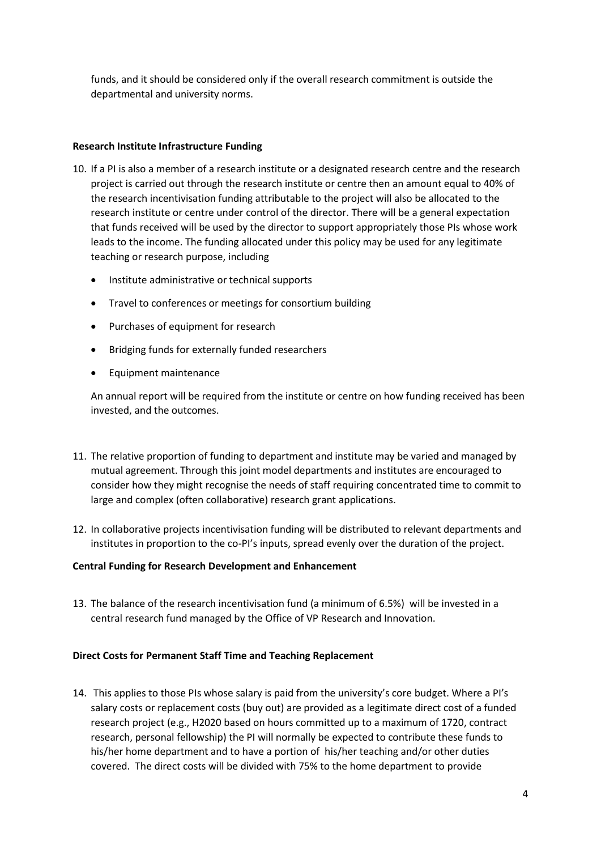funds, and it should be considered only if the overall research commitment is outside the departmental and university norms.

## **Research Institute Infrastructure Funding**

- 10. If a PI is also a member of a research institute or a designated research centre and the research project is carried out through the research institute or centre then an amount equal to 40% of the research incentivisation funding attributable to the project will also be allocated to the research institute or centre under control of the director. There will be a general expectation that funds received will be used by the director to support appropriately those PIs whose work leads to the income. The funding allocated under this policy may be used for any legitimate teaching or research purpose, including
	- Institute administrative or technical supports
	- Travel to conferences or meetings for consortium building
	- Purchases of equipment for research
	- Bridging funds for externally funded researchers
	- Equipment maintenance

An annual report will be required from the institute or centre on how funding received has been invested, and the outcomes.

- 11. The relative proportion of funding to department and institute may be varied and managed by mutual agreement. Through this joint model departments and institutes are encouraged to consider how they might recognise the needs of staff requiring concentrated time to commit to large and complex (often collaborative) research grant applications.
- 12. In collaborative projects incentivisation funding will be distributed to relevant departments and institutes in proportion to the co-PI's inputs, spread evenly over the duration of the project.

## **Central Funding for Research Development and Enhancement**

13. The balance of the research incentivisation fund (a minimum of 6.5%) will be invested in a central research fund managed by the Office of VP Research and Innovation.

## **Direct Costs for Permanent Staff Time and Teaching Replacement**

14. This applies to those PIs whose salary is paid from the university's core budget. Where a PI's salary costs or replacement costs (buy out) are provided as a legitimate direct cost of a funded research project (e.g., H2020 based on hours committed up to a maximum of 1720, contract research, personal fellowship) the PI will normally be expected to contribute these funds to his/her home department and to have a portion of his/her teaching and/or other duties covered. The direct costs will be divided with 75% to the home department to provide